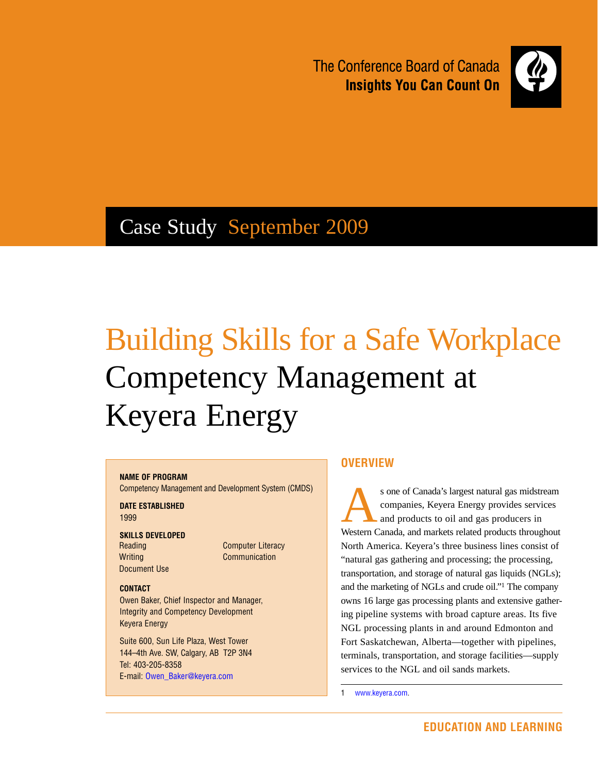The Conference Board of Canada **Insights You Can Count On** 



## Case Study September 2009

# Building Skills for a Safe Workplace Competency Management at Keyera Energy

#### **Name of Program**

Competency Management and Development System (CMDS)

**DATE ESTABLISHED** 1999

#### **Skills Developed**

Reading **Writing** Document Use Computer Literacy Communication

#### **Contact**

Owen Baker, Chief Inspector and Manager, Integrity and Competency Development Keyera Energy

Suite 600, Sun Life Plaza, West Tower 144–4th Ave. SW, Calgary, AB T2P 3N4 Tel: 403-205-8358 E-mail: Owen\_Baker@keyera.com

#### **Overview**

s one of Canada's largest natural gas midstream<br>companies, Keyera Energy provides services<br>and products to oil and gas producers in companies, Keyera Energy provides services and products to oil and gas producers in Western Canada, and markets related products throughout North America. Keyera's three business lines consist of "natural gas gathering and processing; the processing, transportation, and storage of natural gas liquids (NGLs); and the marketing of NGLs and crude oil."1 The company owns 16 large gas processing plants and extensive gathering pipeline systems with broad capture areas. Its five NGL processing plants in and around Edmonton and Fort Saskatchewan, Alberta—together with pipelines, terminals, transportation, and storage facilities—supply services to the NGL and oil sands markets.

1 www.keyera.com.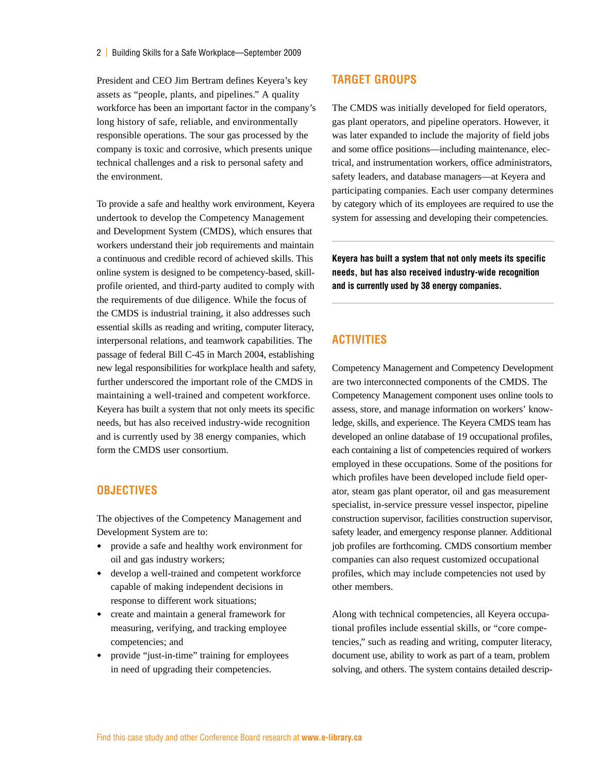President and CEO Jim Bertram defines Keyera's key assets as "people, plants, and pipelines." A quality workforce has been an important factor in the company's long history of safe, reliable, and environmentally responsible operations. The sour gas processed by the company is toxic and corrosive, which presents unique technical challenges and a risk to personal safety and the environment.

To provide a safe and healthy work environment, Keyera undertook to develop the Competency Management and Development System (CMDS), which ensures that workers understand their job requirements and maintain a continuous and credible record of achieved skills. This online system is designed to be competency-based, skillprofile oriented, and third-party audited to comply with the requirements of due diligence. While the focus of the CMDS is industrial training, it also addresses such essential skills as reading and writing, computer literacy, interpersonal relations, and teamwork capabilities. The passage of federal Bill C-45 in March 2004, establishing new legal responsibilities for workplace health and safety, further underscored the important role of the CMDS in maintaining a well-trained and competent workforce. Keyera has built a system that not only meets its specific needs, but has also received industry-wide recognition and is currently used by 38 energy companies, which form the CMDS user consortium.

#### **Objectives**

The objectives of the Competency Management and Development System are to:

- provide a safe and healthy work environment for oil and gas industry workers;
- develop a well-trained and competent workforce capable of making independent decisions in response to different work situations;
- create and maintain a general framework for measuring, verifying, and tracking employee competencies; and
- provide "just-in-time" training for employees in need of upgrading their competencies.

#### **Target Groups**

The CMDS was initially developed for field operators, gas plant operators, and pipeline operators. However, it was later expanded to include the majority of field jobs and some office positions—including maintenance, electrical, and instrumentation workers, office administrators, safety leaders, and database managers—at Keyera and participating companies. Each user company determines by category which of its employees are required to use the system for assessing and developing their competencies.

**Keyera has built a system that not only meets its specific needs, but has also received industry-wide recognition and is currently used by 38 energy companies.**

#### **Activities**

Competency Management and Competency Development are two interconnected components of the CMDS. The Competency Management component uses online tools to assess, store, and manage information on workers' knowledge, skills, and experience. The Keyera CMDS team has developed an online database of 19 occupational profiles, each containing a list of competencies required of workers employed in these occupations. Some of the positions for which profiles have been developed include field operator, steam gas plant operator, oil and gas measurement specialist, in-service pressure vessel inspector, pipeline construction supervisor, facilities construction supervisor, safety leader, and emergency response planner. Additional job profiles are forthcoming. CMDS consortium member companies can also request customized occupational profiles, which may include competencies not used by other members.

Along with technical competencies, all Keyera occupational profiles include essential skills, or "core competencies," such as reading and writing, computer literacy, document use, ability to work as part of a team, problem solving, and others. The system contains detailed descrip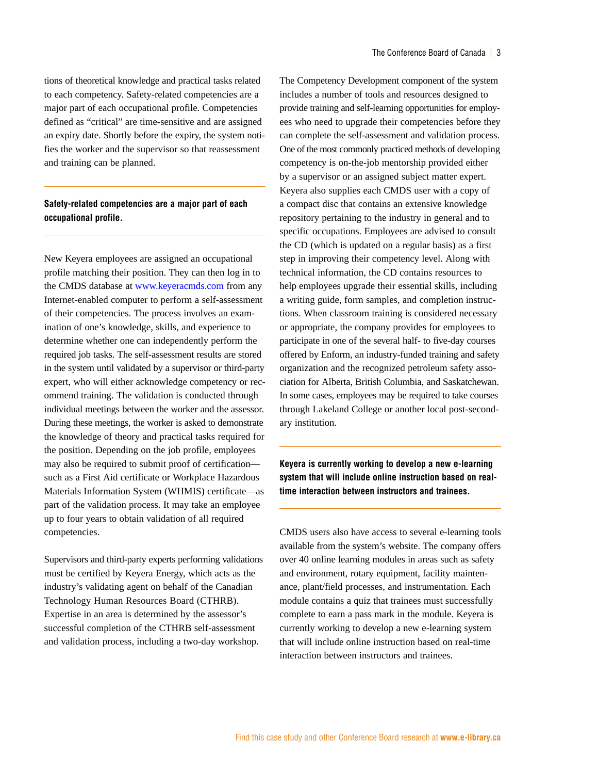tions of theoretical knowledge and practical tasks related to each competency. Safety-related competencies are a major part of each occupational profile. Competencies defined as "critical" are time-sensitive and are assigned an expiry date. Shortly before the expiry, the system notifies the worker and the supervisor so that reassessment and training can be planned.

#### **Safety-related competencies are a major part of each occupational profile.**

New Keyera employees are assigned an occupational profile matching their position. They can then log in to the CMDS database at www.keyeracmds.com from any Internet-enabled computer to perform a self-assessment of their competencies. The process involves an examination of one's knowledge, skills, and experience to determine whether one can independently perform the required job tasks. The self-assessment results are stored in the system until validated by a supervisor or third-party expert, who will either acknowledge competency or recommend training. The validation is conducted through individual meetings between the worker and the assessor. During these meetings, the worker is asked to demonstrate the knowledge of theory and practical tasks required for the position. Depending on the job profile, employees may also be required to submit proof of certification such as a First Aid certificate or Workplace Hazardous Materials Information System (WHMIS) certificate—as part of the validation process. It may take an employee up to four years to obtain validation of all required competencies.

Supervisors and third-party experts performing validations must be certified by Keyera Energy, which acts as the industry's validating agent on behalf of the Canadian Technology Human Resources Board (CTHRB). Expertise in an area is determined by the assessor's successful completion of the CTHRB self-assessment and validation process, including a two-day workshop.

The Competency Development component of the system includes a number of tools and resources designed to provide training and self-learning opportunities for employees who need to upgrade their competencies before they can complete the self-assessment and validation process. One of the most commonly practiced methods of developing competency is on-the-job mentorship provided either by a supervisor or an assigned subject matter expert. Keyera also supplies each CMDS user with a copy of a compact disc that contains an extensive knowledge repository pertaining to the industry in general and to specific occupations. Employees are advised to consult the CD (which is updated on a regular basis) as a first step in improving their competency level. Along with technical information, the CD contains resources to help employees upgrade their essential skills, including a writing guide, form samples, and completion instructions. When classroom training is considered necessary or appropriate, the company provides for employees to participate in one of the several half- to five-day courses offered by Enform, an industry-funded training and safety organization and the recognized petroleum safety association for Alberta, British Columbia, and Saskatchewan. In some cases, employees may be required to take courses through Lakeland College or another local post-secondary institution.

**Keyera is currently working to develop a new e-learning system that will include online instruction based on realtime interaction between instructors and trainees.**

CMDS users also have access to several e-learning tools available from the system's website. The company offers over 40 online learning modules in areas such as safety and environment, rotary equipment, facility maintenance, plant/field processes, and instrumentation. Each module contains a quiz that trainees must successfully complete to earn a pass mark in the module. Keyera is currently working to develop a new e-learning system that will include online instruction based on real-time interaction between instructors and trainees.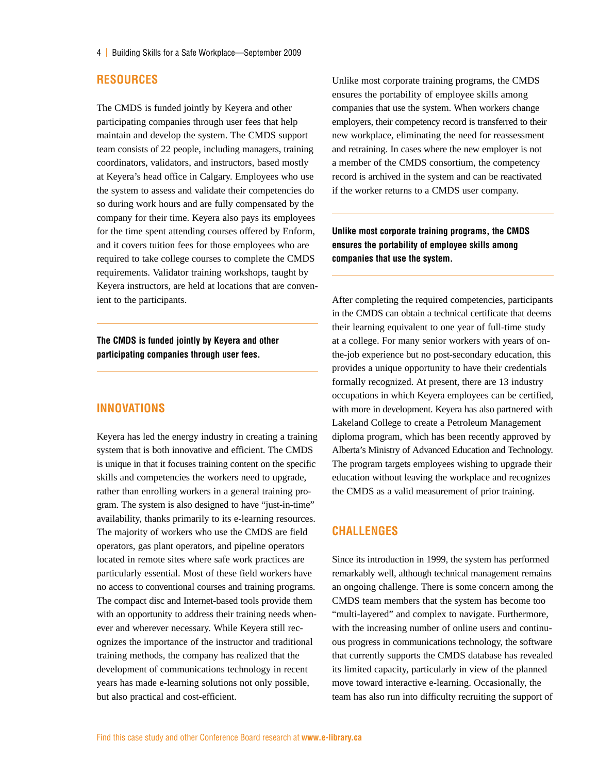#### **Resources**

The CMDS is funded jointly by Keyera and other participating companies through user fees that help maintain and develop the system. The CMDS support team consists of 22 people, including managers, training coordinators, validators, and instructors, based mostly at Keyera's head office in Calgary. Employees who use the system to assess and validate their competencies do so during work hours and are fully compensated by the company for their time. Keyera also pays its employees for the time spent attending courses offered by Enform, and it covers tuition fees for those employees who are required to take college courses to complete the CMDS requirements. Validator training workshops, taught by Keyera instructors, are held at locations that are convenient to the participants.

**The CMDS is funded jointly by Keyera and other participating companies through user fees.**

#### **Innovations**

Keyera has led the energy industry in creating a training system that is both innovative and efficient. The CMDS is unique in that it focuses training content on the specific skills and competencies the workers need to upgrade, rather than enrolling workers in a general training program. The system is also designed to have "just-in-time" availability, thanks primarily to its e-learning resources. The majority of workers who use the CMDS are field operators, gas plant operators, and pipeline operators located in remote sites where safe work practices are particularly essential. Most of these field workers have no access to conventional courses and training programs. The compact disc and Internet-based tools provide them with an opportunity to address their training needs whenever and wherever necessary. While Keyera still recognizes the importance of the instructor and traditional training methods, the company has realized that the development of communications technology in recent years has made e-learning solutions not only possible, but also practical and cost-efficient.

Unlike most corporate training programs, the CMDS ensures the portability of employee skills among companies that use the system. When workers change employers, their competency record is transferred to their new workplace, eliminating the need for reassessment and retraining. In cases where the new employer is not a member of the CMDS consortium, the competency record is archived in the system and can be reactivated if the worker returns to a CMDS user company.

**Unlike most corporate training programs, the CMDS ensures the portability of employee skills among companies that use the system.**

After completing the required competencies, participants in the CMDS can obtain a technical certificate that deems their learning equivalent to one year of full-time study at a college. For many senior workers with years of onthe-job experience but no post-secondary education, this provides a unique opportunity to have their credentials formally recognized. At present, there are 13 industry occupations in which Keyera employees can be certified, with more in development. Keyera has also partnered with Lakeland College to create a Petroleum Management diploma program, which has been recently approved by Alberta's Ministry of Advanced Education and Technology. The program targets employees wishing to upgrade their education without leaving the workplace and recognizes the CMDS as a valid measurement of prior training.

#### **Challenges**

Since its introduction in 1999, the system has performed remarkably well, although technical management remains an ongoing challenge. There is some concern among the CMDS team members that the system has become too "multi-layered" and complex to navigate. Furthermore, with the increasing number of online users and continuous progress in communications technology, the software that currently supports the CMDS database has revealed its limited capacity, particularly in view of the planned move toward interactive e-learning. Occasionally, the team has also run into difficulty recruiting the support of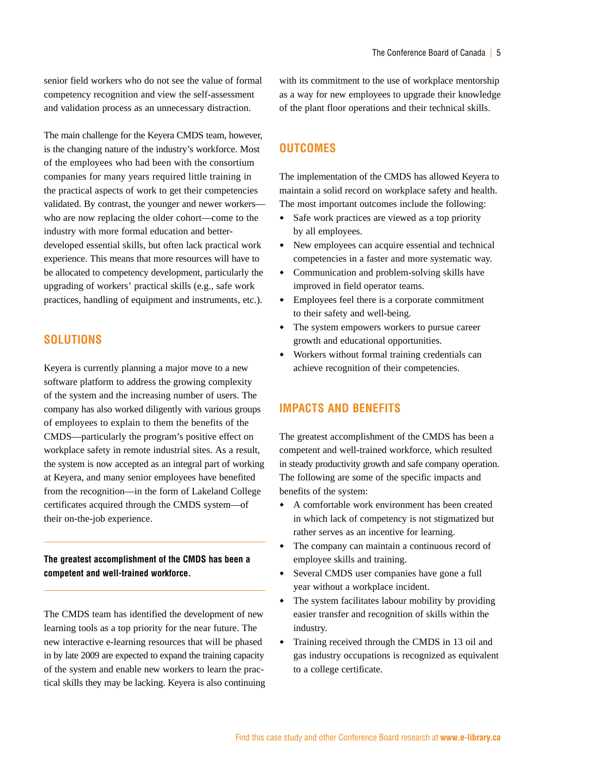senior field workers who do not see the value of formal competency recognition and view the self-assessment and validation process as an unnecessary distraction.

The main challenge for the Keyera CMDS team, however, is the changing nature of the industry's workforce. Most of the employees who had been with the consortium companies for many years required little training in the practical aspects of work to get their competencies validated. By contrast, the younger and newer workers who are now replacing the older cohort—come to the industry with more formal education and betterdeveloped essential skills, but often lack practical work experience. This means that more resources will have to be allocated to competency development, particularly the upgrading of workers' practical skills (e.g., safe work practices, handling of equipment and instruments, etc.).

#### **Solutions**

Keyera is currently planning a major move to a new software platform to address the growing complexity of the system and the increasing number of users. The company has also worked diligently with various groups of employees to explain to them the benefits of the CMDS—particularly the program's positive effect on workplace safety in remote industrial sites. As a result, the system is now accepted as an integral part of working at Keyera, and many senior employees have benefited from the recognition—in the form of Lakeland College certificates acquired through the CMDS system—of their on-the-job experience.

**The greatest accomplishment of the CMDS has been a competent and well-trained workforce.**

The CMDS team has identified the development of new learning tools as a top priority for the near future. The new interactive e-learning resources that will be phased in by late 2009 are expected to expand the training capacity of the system and enable new workers to learn the practical skills they may be lacking. Keyera is also continuing with its commitment to the use of workplace mentorship as a way for new employees to upgrade their knowledge of the plant floor operations and their technical skills.

#### **Outcomes**

The implementation of the CMDS has allowed Keyera to maintain a solid record on workplace safety and health. The most important outcomes include the following:

- Safe work practices are viewed as a top priority by all employees.
- New employees can acquire essential and technical competencies in a faster and more systematic way.
- Communication and problem-solving skills have improved in field operator teams.
- Employees feel there is a corporate commitment to their safety and well-being.
- The system empowers workers to pursue career growth and educational opportunities.
- Workers without formal training credentials can achieve recognition of their competencies.

#### **Impacts and Benefits**

The greatest accomplishment of the CMDS has been a competent and well-trained workforce, which resulted in steady productivity growth and safe company operation. The following are some of the specific impacts and benefits of the system:

- A comfortable work environment has been created in which lack of competency is not stigmatized but rather serves as an incentive for learning.
- The company can maintain a continuous record of employee skills and training.
- Several CMDS user companies have gone a full year without a workplace incident.
- The system facilitates labour mobility by providing easier transfer and recognition of skills within the industry.
- Training received through the CMDS in 13 oil and gas industry occupations is recognized as equivalent to a college certificate.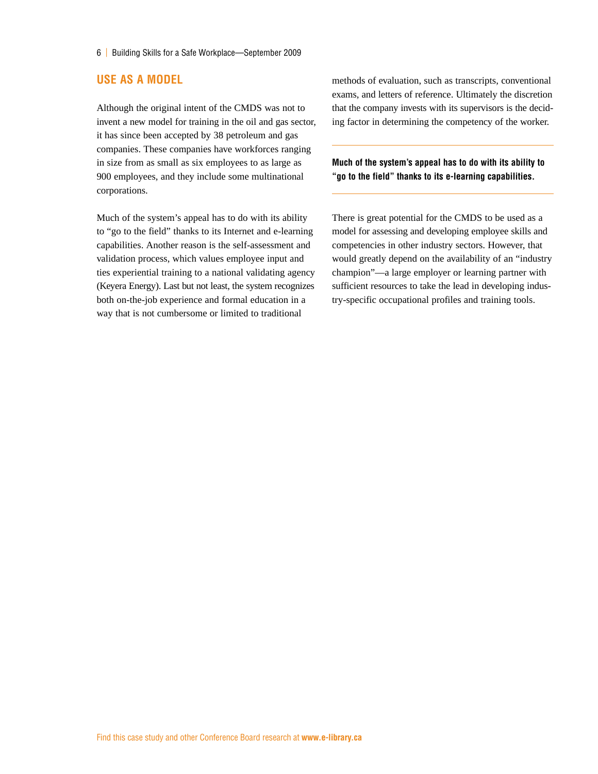#### **Use as a Model**

Although the original intent of the CMDS was not to invent a new model for training in the oil and gas sector, it has since been accepted by 38 petroleum and gas companies. These companies have workforces ranging in size from as small as six employees to as large as 900 employees, and they include some multinational corporations.

Much of the system's appeal has to do with its ability to "go to the field" thanks to its Internet and e-learning capabilities. Another reason is the self-assessment and validation process, which values employee input and ties experiential training to a national validating agency (Keyera Energy). Last but not least, the system recognizes both on-the-job experience and formal education in a way that is not cumbersome or limited to traditional

methods of evaluation, such as transcripts, conventional exams, and letters of reference. Ultimately the discretion that the company invests with its supervisors is the deciding factor in determining the competency of the worker.

**Much of the system's appeal has to do with its ability to "go to the field" thanks to its e-learning capabilities.**

There is great potential for the CMDS to be used as a model for assessing and developing employee skills and competencies in other industry sectors. However, that would greatly depend on the availability of an "industry champion"—a large employer or learning partner with sufficient resources to take the lead in developing industry-specific occupational profiles and training tools.